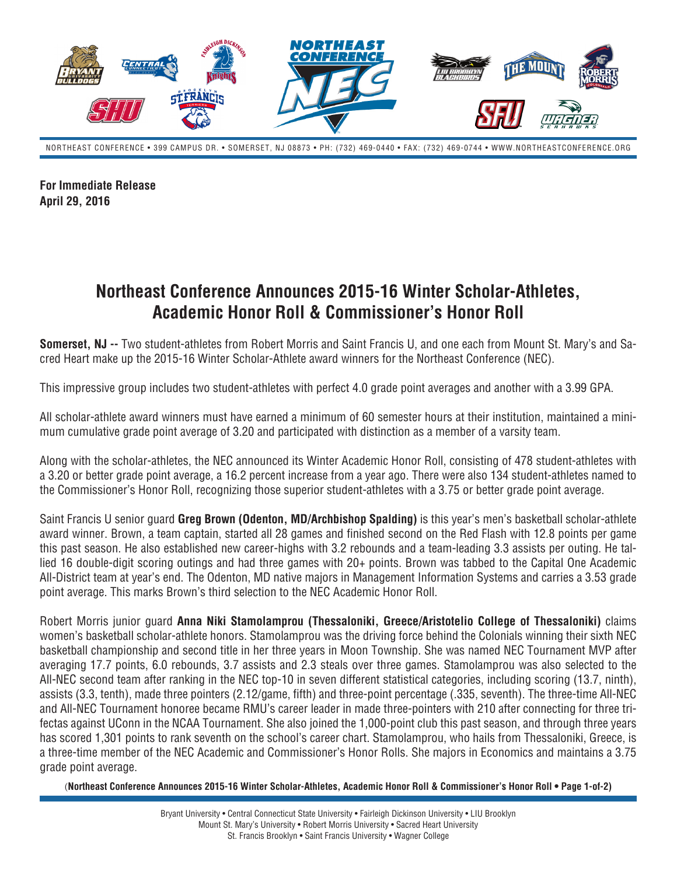

NORTHEAST CONFERENCE • 399 CAMPUS DR. • SOMERSET, NJ 08873 • PH: (732) 469-0440 • FAX: (732) 469-0744 • WWW.NORTHEASTCONFERENCE.ORG

**For Immediate Release April 29, 2016**

## **Northeast Conference Announces 2015-16 Winter Scholar-Athletes, Academic Honor Roll & Commissioner's Honor Roll**

**Somerset, NJ --** Two student-athletes from Robert Morris and Saint Francis U, and one each from Mount St. Mary's and Sacred Heart make up the 2015-16 Winter Scholar-Athlete award winners for the Northeast Conference (NEC).

This impressive group includes two student-athletes with perfect 4.0 grade point averages and another with a 3.99 GPA.

All scholar-athlete award winners must have earned a minimum of 60 semester hours at their institution, maintained a minimum cumulative grade point average of 3.20 and participated with distinction as a member of a varsity team.

Along with the scholar-athletes, the NEC announced its Winter Academic Honor Roll, consisting of 478 student-athletes with a 3.20 or better grade point average, a 16.2 percent increase from a year ago. There were also 134 student-athletes named to the Commissioner's Honor Roll, recognizing those superior student-athletes with a 3.75 or better grade point average.

Saint Francis U senior guard **Greg Brown (Odenton, MD/Archbishop Spalding)** is this year's men's basketball scholar-athlete award winner. Brown, a team captain, started all 28 games and finished second on the Red Flash with 12.8 points per game this past season. He also established new career-highs with 3.2 rebounds and a team-leading 3.3 assists per outing. He tallied 16 double-digit scoring outings and had three games with 20+ points. Brown was tabbed to the Capital One Academic All-District team at year's end. The Odenton, MD native majors in Management Information Systems and carries a 3.53 grade point average. This marks Brown's third selection to the NEC Academic Honor Roll.

Robert Morris junior guard **Anna Niki Stamolamprou (Thessaloniki, Greece/Aristotelio College of Thessaloniki)** claims women's basketball scholar-athlete honors. Stamolamprou was the driving force behind the Colonials winning their sixth NEC basketball championship and second title in her three years in Moon Township. She was named NEC Tournament MVP after averaging 17.7 points, 6.0 rebounds, 3.7 assists and 2.3 steals over three games. Stamolamprou was also selected to the All-NEC second team after ranking in the NEC top-10 in seven different statistical categories, including scoring (13.7, ninth), assists (3.3, tenth), made three pointers (2.12/game, fifth) and three-point percentage (.335, seventh). The three-time All-NEC and All-NEC Tournament honoree became RMU's career leader in made three-pointers with 210 after connecting for three trifectas against UConn in the NCAA Tournament. She also joined the 1,000-point club this past season, and through three years has scored 1,301 points to rank seventh on the school's career chart. Stamolamprou, who hails from Thessaloniki, Greece, is a three-time member of the NEC Academic and Commissioner's Honor Rolls. She majors in Economics and maintains a 3.75 grade point average.

(**Northeast Conference Announces 2015-16 Winter Scholar-Athletes, Academic Honor Roll & Commissioner's Honor Roll • Page 1-of-2)**